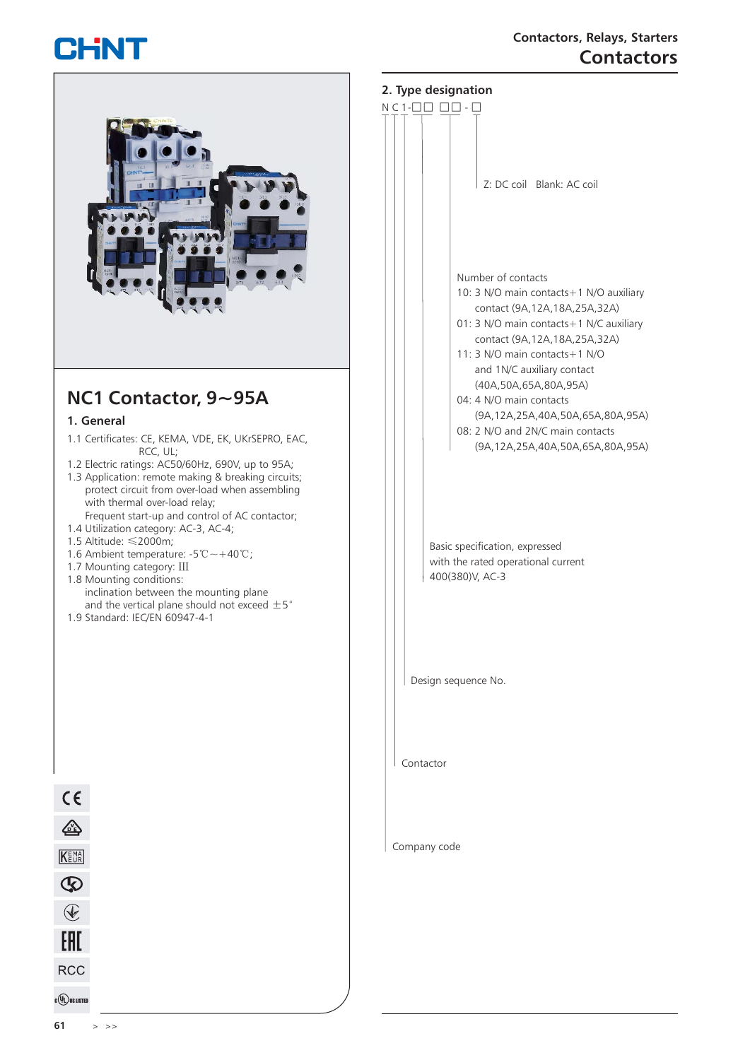# CHNT



### **2. Type designation**



Contactor

Company code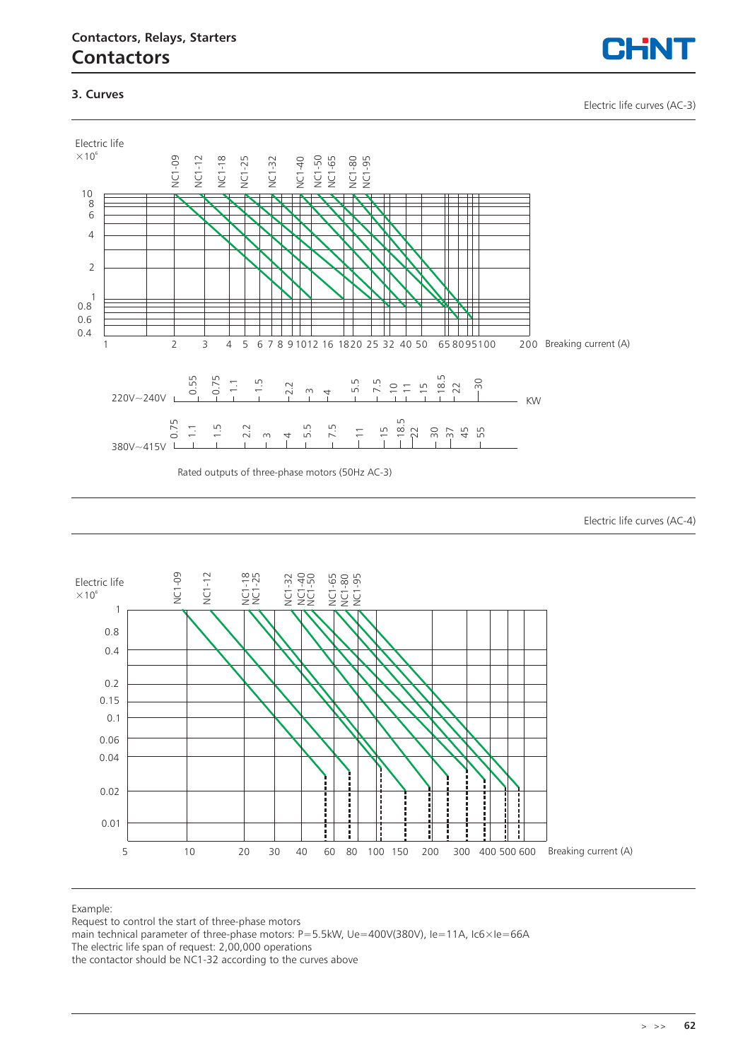### **3. Curves**

Electric life curves (AC-3)



Electric life curves (AC-4)



#### Example:

Request to control the start of three-phase motors

main technical parameter of three-phase motors: P=5.5kW, Ue=400V(380V), Ie=11A, Ic6×Ie=66A

The electric life span of request: 2,00,000 operations

the contactor should be NC1-32 according to the curves above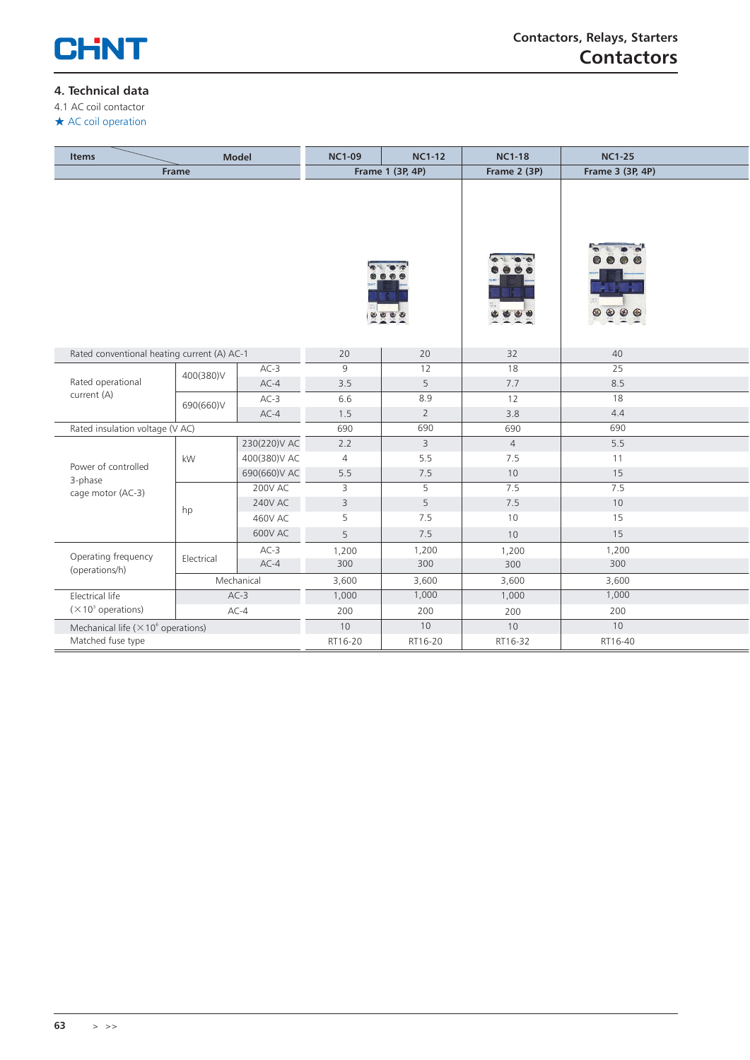

### **4. Technical data**

4.1 AC coil contactor

★ AC coil operation

| <b>Model</b><br><b>Items</b>                           |                                             |                | <b>NC1-09</b>  | <b>NC1-12</b>    | <b>NC1-18</b>  | <b>NC1-25</b>    |  |
|--------------------------------------------------------|---------------------------------------------|----------------|----------------|------------------|----------------|------------------|--|
|                                                        | Frame                                       |                |                | Frame 1 (3P, 4P) | Frame 2 (3P)   | Frame 3 (3P, 4P) |  |
|                                                        |                                             |                |                |                  |                |                  |  |
|                                                        | Rated conventional heating current (A) AC-1 |                | 20             | 20               | 32             | 40               |  |
|                                                        | 400(380)V                                   | $AC-3$         | 9              | 12               | 18             | 25               |  |
| Rated operational                                      |                                             | $AC-4$         | 3.5            | 5                | 7.7            | 8.5              |  |
| current (A)                                            | 690(660)V                                   | $AC-3$         | 6.6            | 8.9              | 12             | 18               |  |
|                                                        |                                             | $AC-4$         | 1.5            | $\overline{2}$   | 3.8            | 4.4              |  |
| Rated insulation voltage (V AC)                        |                                             |                | 690            | 690              | 690            | 690              |  |
|                                                        |                                             | 230(220)V AC   | 2.2            | 3                | $\overline{4}$ | 5.5              |  |
| Power of controlled                                    | kW                                          | 400(380)V AC   | $\overline{4}$ | 5.5              | 7.5            | 11               |  |
| 3-phase                                                |                                             | 690(660)V AC   | 5.5            | 7.5              | 10             | 15               |  |
| cage motor (AC-3)                                      |                                             | <b>200V AC</b> | 3              | 5                | 7.5            | 7.5              |  |
|                                                        | hp                                          | <b>240V AC</b> | 3              | 5                | 7.5            | 10               |  |
|                                                        |                                             | <b>460V AC</b> | 5              | 7.5              | 10             | 15               |  |
|                                                        |                                             | <b>600V AC</b> | 5              | 7.5              | 10             | 15               |  |
|                                                        |                                             | $AC-3$         | 1,200          | 1,200            | 1,200          | 1,200            |  |
| Operating frequency<br>(operations/h)                  | Electrical                                  | $AC-4$         | 300            | 300              | 300            | 300              |  |
|                                                        |                                             | Mechanical     | 3,600          | 3,600            | 3,600          | 3,600            |  |
| Electrical life                                        |                                             | $AC-3$         | 1,000          | 1,000            | 1,000          | 1,000            |  |
| $(\times 10^3$ operations)                             |                                             | $AC-4$         | 200            | 200              | 200            | 200              |  |
| Mechanical life ( $\times$ 10 <sup>6</sup> operations) |                                             |                | 10             | $10$             | 10             | $10$             |  |
| Matched fuse type                                      |                                             |                | RT16-20        | RT16-20          | RT16-32        | RT16-40          |  |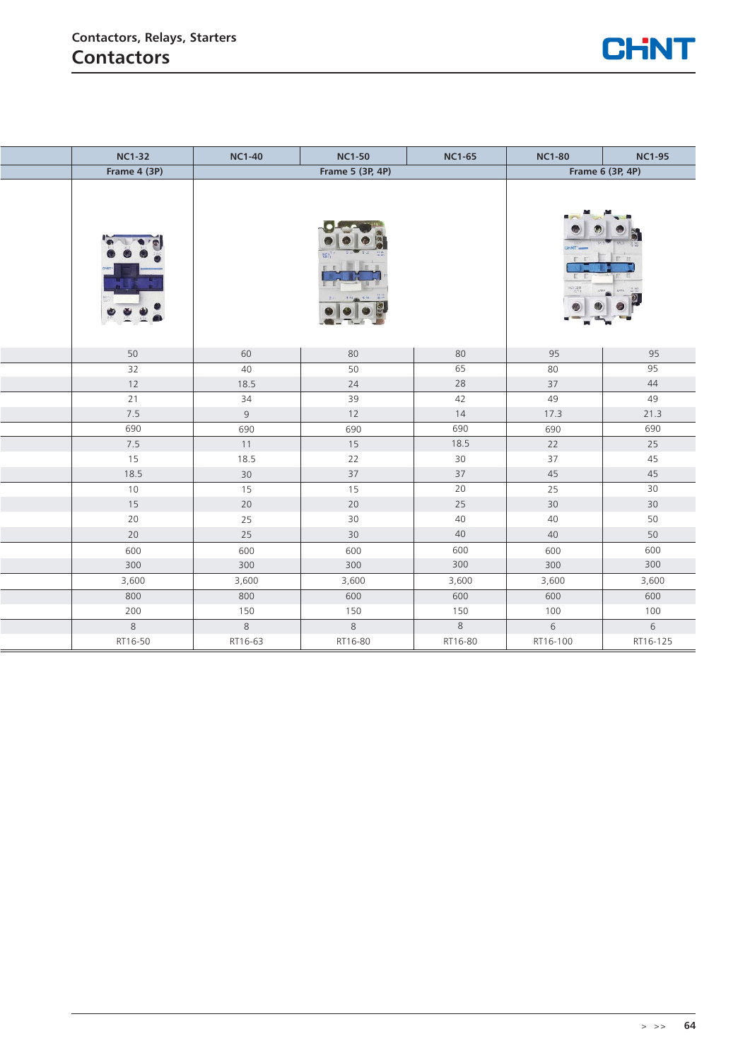

| <b>NC1-32</b>   | <b>NC1-40</b> | <b>NC1-50</b>    | <b>NC1-65</b> | <b>NC1-80</b>          | <b>NC1-95</b> |
|-----------------|---------------|------------------|---------------|------------------------|---------------|
| Frame 4 (3P)    |               | Frame 5 (3P, 4P) |               | Frame 6 (3P, 4P)       |               |
|                 |               |                  |               | T.<br>NGE 2611<br>SATI |               |
| 50              | 60            | 80               | 80            | 95                     | 95            |
| $\overline{32}$ | 40            | $\overline{50}$  | 65            | 80                     | 95            |
| $12$            | 18.5          | 24               | 28            | 37                     | 44            |
| 21              | 34            | 39               | 42            | 49                     | 49            |
| 7.5             | $\,9$         | 12               | 14            | 17.3                   | 21.3          |
| 690             | 690           | 690              | 690           | 690                    | 690           |
| 7.5             | $11$          | 15               | 18.5          | 22                     | 25            |
| 15              | 18.5          | 22               | 30            | 37                     | 45            |
| 18.5            | 30            | 37               | 37            | 45                     | 45            |
| 10              | 15            | 15               | 20            | 25                     | 30            |
| 15              | 20            | 20               | 25            | 30                     | $30\,$        |
| 20              | 25            | 30               | 40            | 40                     | 50            |
| 20              | 25            | 30               | $40\,$        | 40                     | 50            |
| 600             | 600           | 600              | 600           | 600                    | 600           |
| 300             | 300           | 300              | 300           | 300                    | 300           |
| 3,600           | 3,600         | 3,600            | 3,600         | 3,600                  | 3,600         |
| 800             | 800           | 600              | 600           | 600                    | 600           |
| 200             | 150           | 150              | 150           | 100                    | 100           |
| 8               | $\,8\,$       | 8                | $\,8\,$       | 6                      | 6             |
| RT16-50         | RT16-63       | RT16-80          | RT16-80       | RT16-100               | RT16-125      |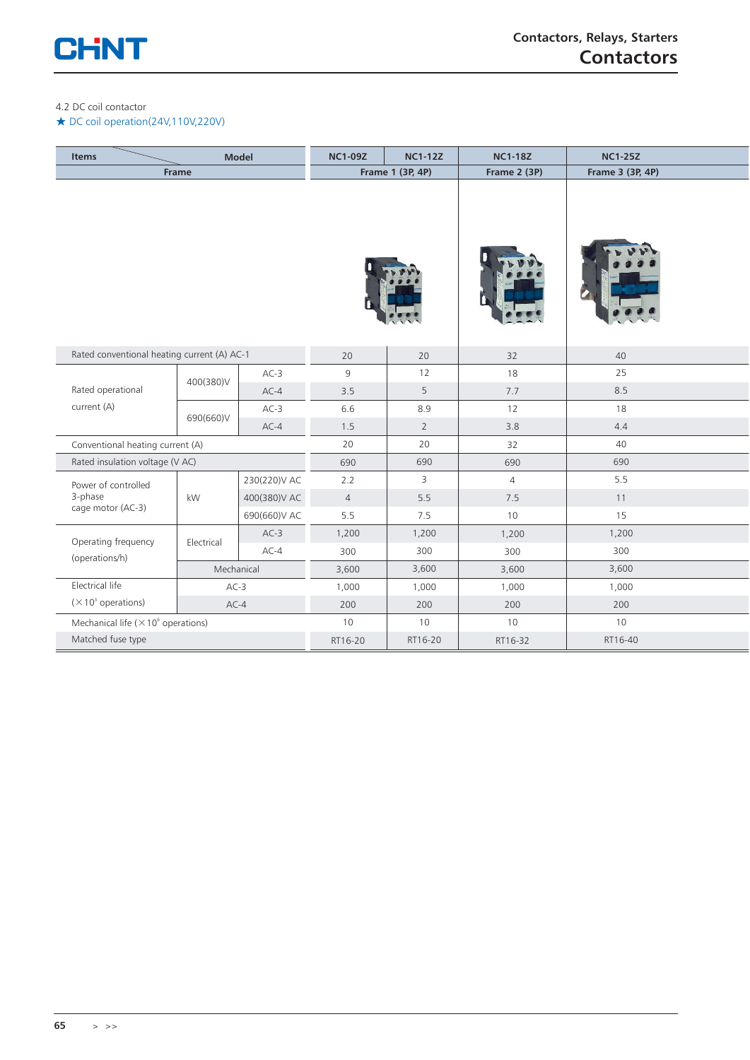

### 4.2 DC coil contactor

### ★ DC coil operation(24V,110V,220V)

| <b>Items</b>                                           |                                             | <b>Model</b> | <b>NC1-09Z</b> | <b>NC1-12Z</b>   | <b>NC1-18Z</b> | <b>NC1-25Z</b>   |
|--------------------------------------------------------|---------------------------------------------|--------------|----------------|------------------|----------------|------------------|
|                                                        | Frame                                       |              |                | Frame 1 (3P, 4P) | Frame 2 (3P)   | Frame 3 (3P, 4P) |
|                                                        |                                             |              |                |                  |                |                  |
|                                                        | Rated conventional heating current (A) AC-1 |              | 20             | 20               | 32             | 40               |
|                                                        | 400(380)V                                   | $AC-3$       | 9              | 12               | 18             | 25               |
| Rated operational                                      |                                             | $AC-4$       | 3.5            | 5                | 7.7            | 8.5              |
| current (A)                                            | 690(660)V                                   | $AC-3$       | 6.6            | 8.9              | 12             | 18               |
|                                                        |                                             | $AC-4$       | 1.5            | $\overline{2}$   | 3.8            | 4.4              |
| Conventional heating current (A)                       |                                             |              | 20             | 20               | 32             | 40               |
| Rated insulation voltage (V AC)                        |                                             |              | 690            | 690              | 690            | 690              |
| Power of controlled                                    |                                             | 230(220)V AC | 2.2            | 3                | $\overline{4}$ | 5.5              |
| 3-phase                                                | kW                                          | 400(380)V AC | $\overline{4}$ | 5.5              | 7.5            | 11               |
| cage motor (AC-3)                                      |                                             | 690(660)V AC | 5.5            | 7.5              | 10             | 15               |
| Operating frequency                                    |                                             | $AC-3$       | 1,200          | 1,200            | 1,200          | 1,200            |
| (operations/h)                                         | Electrical                                  | $AC-4$       | 300            | 300              | 300            | 300              |
|                                                        | Mechanical                                  |              | 3,600          | 3,600            | 3,600          | 3,600            |
| Electrical life                                        | $AC-3$                                      |              | 1,000          | 1,000            | 1,000          | 1,000            |
| $(\times 10^3$ operations)<br>$AC-4$                   |                                             | 200          | 200            | 200              | 200            |                  |
| Mechanical life ( $\times$ 10 <sup>6</sup> operations) |                                             |              | 10             | 10               | 10             | 10               |
| Matched fuse type                                      |                                             | RT16-20      | RT16-20        | RT16-32          | RT16-40        |                  |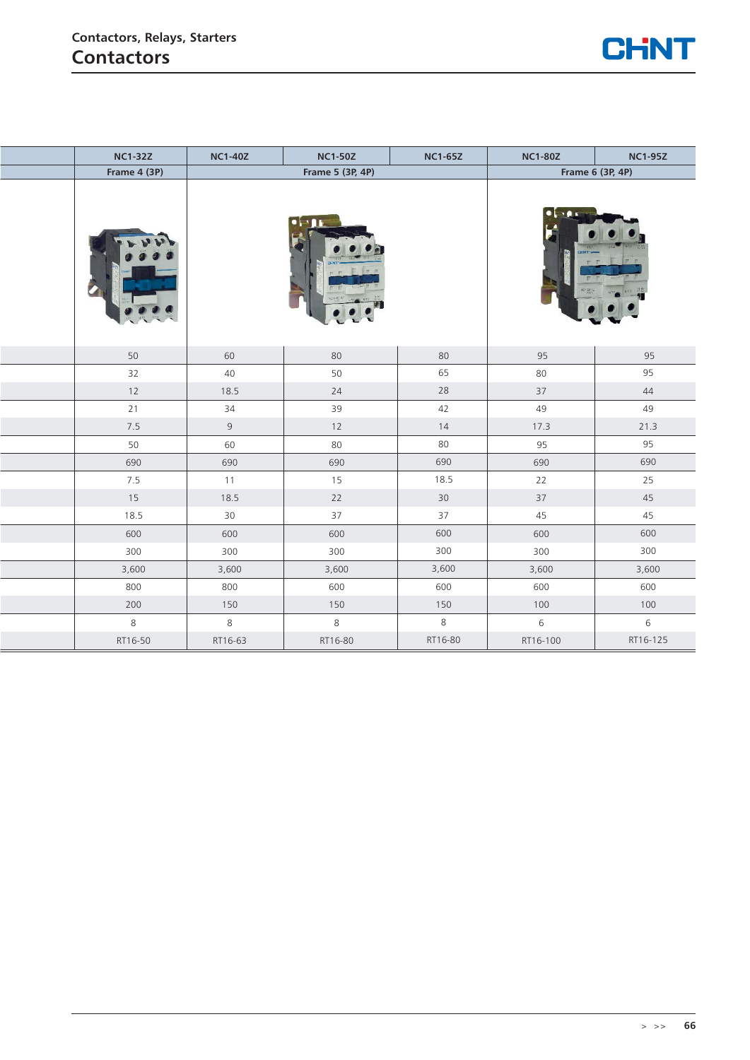

| <b>NC1-32Z</b> | <b>NC1-40Z</b> | <b>NC1-50Z</b>   | <b>NC1-65Z</b> | <b>NC1-80Z</b> | <b>NC1-95Z</b>   |
|----------------|----------------|------------------|----------------|----------------|------------------|
| Frame 4 (3P)   |                | Frame 5 (3P, 4P) |                |                | Frame 6 (3P, 4P) |
|                |                | $\bullet$        |                |                |                  |
| 50             | 60             | 80               | 80             | 95             | 95               |
| 32             | 40             | 50               | 65             | 80             | 95               |
| 12             | 18.5           | 24               | 28             | 37             | 44               |
| 21             | 34             | 39               | 42             | 49             | 49               |
| 7.5            | $\,9$          | $12$             | 14             | 17.3           | 21.3             |
| 50             | 60             | 80               | 80             | 95             | 95               |
| 690            | 690            | 690              | 690            | 690            | 690              |
| 7.5            | 11             | 15               | 18.5           | 22             | 25               |
| 15             | 18.5           | $22$             | 30             | $37\,$         | 45               |
| 18.5           | $30$           | 37               | 37             | 45             | 45               |
| 600            | 600            | 600              | 600            | 600            | 600              |
| 300            | 300            | 300              | 300            | 300            | 300              |
| 3,600          | 3,600          | 3,600            | 3,600          | 3,600          | 3,600            |
| 800            | 800            | 600              | 600            | 600            | 600              |
| 200            | 150            | 150              | 150            | 100            | $100\,$          |
| $\,8\,$        | $\,8\,$        | $\,8\,$          | 8              | 6              | 6                |
| RT16-50        | RT16-63        | RT16-80          | RT16-80        | RT16-100       | RT16-125         |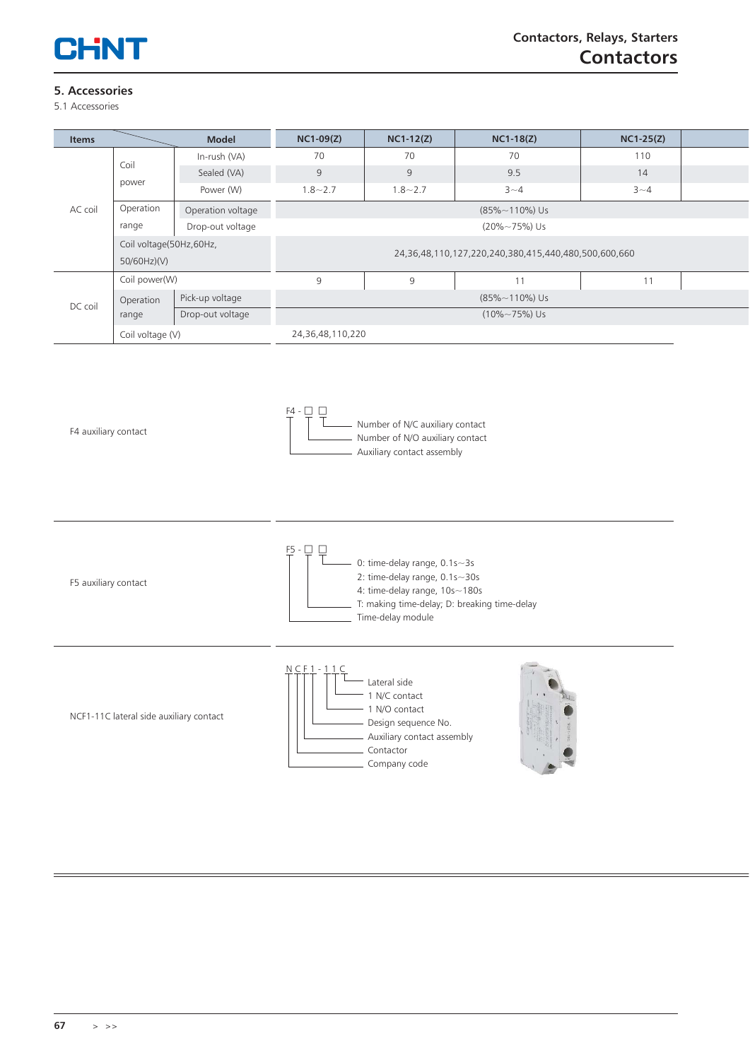

# **5. Accessories**

5.1 Accessories

| <b>Items</b> |                          | <b>Model</b>      | $NC1-09(Z)$                                          | $NC1-12(Z)$      | $NC1-18(Z)$ | $NC1-25(Z)$ |  |  |  |
|--------------|--------------------------|-------------------|------------------------------------------------------|------------------|-------------|-------------|--|--|--|
|              |                          | In-rush (VA)      | 70                                                   | 70               | 70          | 110         |  |  |  |
|              | Coil                     | Sealed (VA)       | 9                                                    | 9                | 9.5         | 14          |  |  |  |
|              | power                    | Power (W)         | $1.8 - 2.7$                                          | $1.8 - 2.7$      | $3 - 4$     | $3 - 4$     |  |  |  |
| AC coil      | Operation                | Operation voltage | $(85\% \sim 110\%)$ Us                               |                  |             |             |  |  |  |
|              | range                    | Drop-out voltage  | $(20\% \sim 75\%)$ Us                                |                  |             |             |  |  |  |
|              | Coil voltage(50Hz, 60Hz, |                   | 24,36,48,110,127,220,240,380,415,440,480,500,600,660 |                  |             |             |  |  |  |
|              | 50/60Hz)(V)              |                   |                                                      |                  |             |             |  |  |  |
|              | Coil power(W)            |                   | 9                                                    | 9                | 11          | 11          |  |  |  |
| DC coil      | Operation                | Pick-up voltage   | $(85\% \sim 110\%)$ Us                               |                  |             |             |  |  |  |
|              | range                    | Drop-out voltage  | $(10\% \sim 75\%)$ Us                                |                  |             |             |  |  |  |
|              |                          | Coil voltage (V)  |                                                      | 24,36,48,110,220 |             |             |  |  |  |

F4 auxiliary contact

 $F4 - 7$ <br>T T T Number of N/C auxiliary contact Number of N/O auxiliary contact Auxiliary contact assembly

F5 auxiliary contact

 $F^5$  -  $\Box$   $\Box$  0: time-delay range, 0.1s~3s 2: time-delay range, 0.1s~30s 4: time-delay range, 10s~180s T: making time-delay; D: breaking time-delay \_ Time-delay module

NCF1-11C lateral side auxiliary contact

| $NCF1 - 11C$<br>Lateral side<br>1 N/C contact<br>1 N/O contact<br>Design sequence No.<br>Auxiliary contact assembly<br>Contactor<br>Company code |  |
|--------------------------------------------------------------------------------------------------------------------------------------------------|--|
|--------------------------------------------------------------------------------------------------------------------------------------------------|--|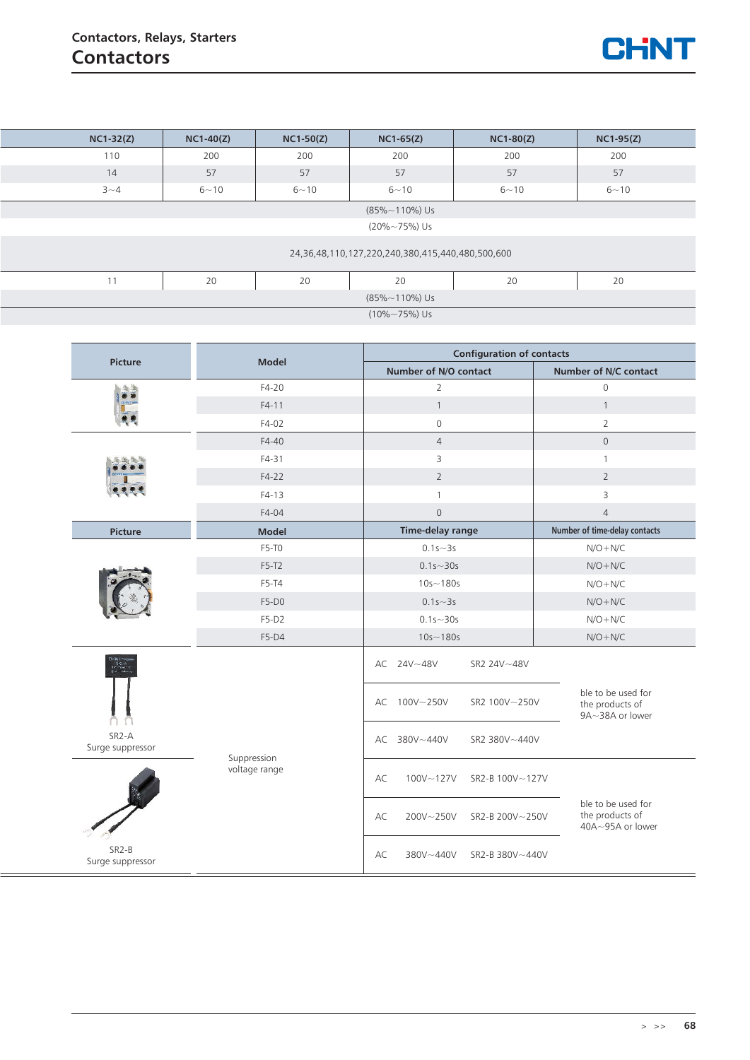

|                        | $NC1-32(Z)$                                      | $NC1-40(Z)$ | $NC1-50(Z)$ | $NC1-65(Z)$                      | $NC1-80(Z)$ | $NC1-95(Z)$ |  |  |  |
|------------------------|--------------------------------------------------|-------------|-------------|----------------------------------|-------------|-------------|--|--|--|
|                        | 110                                              | 200         | 200         | 200                              | 200         | 200         |  |  |  |
|                        | 14                                               | 57          | 57          | 57                               | 57          | 57          |  |  |  |
|                        | $3 - 4$                                          | $6 - 10$    | $6 - 10$    | $6 - 10$                         | $6 - 10$    | $6 - 10$    |  |  |  |
| $(85\% \sim 110\%)$ Us |                                                  |             |             |                                  |             |             |  |  |  |
|                        |                                                  |             |             | $(20\% \sim 75\%)$ Us            |             |             |  |  |  |
|                        | 24,36,48,110,127,220,240,380,415,440,480,500,600 |             |             |                                  |             |             |  |  |  |
|                        | 11                                               | 20          | 20          | 20                               | 20          | 20          |  |  |  |
|                        |                                                  |             |             | $(85\% \sim 110\%)$ Us           |             |             |  |  |  |
|                        | $(10\% \sim 75\%)$ Us                            |             |             |                                  |             |             |  |  |  |
|                        |                                                  |             |             |                                  |             |             |  |  |  |
|                        | and the contract of the contract of              | .           |             | <b>Configuration of contacts</b> |             |             |  |  |  |

| Picture                                | <b>Model</b>  | <b>Configuration of contacts</b>   |                                                           |  |  |  |  |
|----------------------------------------|---------------|------------------------------------|-----------------------------------------------------------|--|--|--|--|
|                                        |               | Number of N/O contact              | Number of N/C contact                                     |  |  |  |  |
| 偏偏                                     | $F4-20$       | $\overline{2}$                     | $\mathsf{O}\xspace$                                       |  |  |  |  |
|                                        | $F4-11$       | $\mathbf{1}$                       | $\mathbf{1}$                                              |  |  |  |  |
|                                        | $F4-02$       | $\mathbf 0$                        | $\overline{2}$                                            |  |  |  |  |
|                                        | $F4-40$       | $\overline{4}$                     | $\mathsf{O}\xspace$                                       |  |  |  |  |
|                                        | $F4-31$       | 3                                  | $\mathbf{1}$                                              |  |  |  |  |
|                                        | $F4-22$       | $\overline{2}$                     | $\overline{2}$                                            |  |  |  |  |
|                                        | $F4-13$       | $\mathbf{1}$                       | 3                                                         |  |  |  |  |
|                                        | $F4-04$       | $\mathbb O$                        | $\overline{4}$                                            |  |  |  |  |
| Picture                                | <b>Model</b>  | <b>Time-delay range</b>            | Number of time-delay contacts                             |  |  |  |  |
|                                        | F5-T0         | $0.1s - 3s$                        | $N/O + N/C$                                               |  |  |  |  |
|                                        | $F5-T2$       | $0.1s - 30s$                       | $N/O + N/C$                                               |  |  |  |  |
|                                        | $F5-T4$       | $10s - 180s$                       | $N/O + N/C$                                               |  |  |  |  |
|                                        | $F5-D0$       | $0.1s - 3s$                        | $N/O + N/C$                                               |  |  |  |  |
|                                        | $F5-D2$       | $0.1s - 30s$                       | $N/O + N/C$                                               |  |  |  |  |
|                                        | F5-D4         | $10s - 180s$                       | $N/O + N/C$                                               |  |  |  |  |
|                                        |               | AC 24V~48V<br>SR2 24V~48V          |                                                           |  |  |  |  |
|                                        |               | 100V~250V<br>SR2 100V~250V<br>AC   | ble to be used for<br>the products of<br>9A~38A or lower  |  |  |  |  |
| SR <sub>2</sub> -A<br>Surge suppressor | Suppression   | AC 380V~440V<br>SR2 380V~440V      |                                                           |  |  |  |  |
|                                        | voltage range | AC<br>100V~127V<br>SR2-B 100V~127V |                                                           |  |  |  |  |
|                                        |               | AC<br>200V~250V<br>SR2-B 200V~250V | ble to be used for<br>the products of<br>40A~95A or lower |  |  |  |  |
| SR <sub>2</sub> -B<br>Surge suppressor |               | AC<br>380V~440V<br>SR2-B 380V~440V |                                                           |  |  |  |  |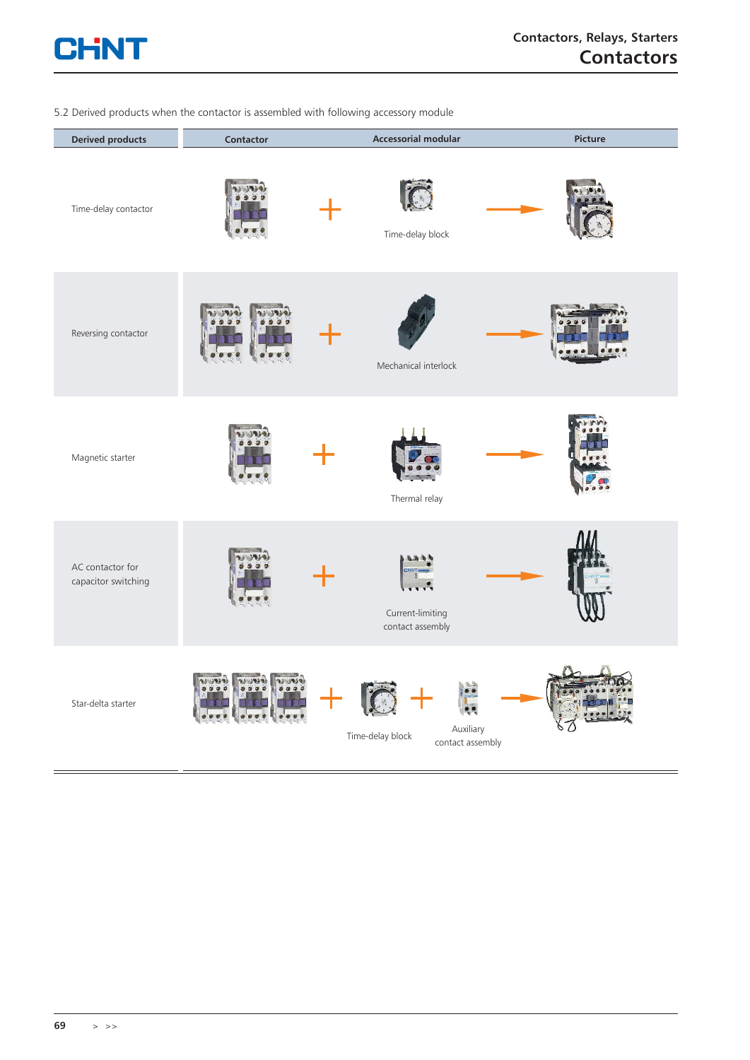

### 5.2 Derived products when the contactor is assembled with following accessory module

| <b>Derived products</b>                 | Contactor                       | <b>Accessorial modular</b>                        | Picture |
|-----------------------------------------|---------------------------------|---------------------------------------------------|---------|
| Time-delay contactor                    |                                 | Time-delay block                                  |         |
| Reversing contactor                     | 99                              | Mechanical interlock                              |         |
| Magnetic starter                        |                                 | Thermal relay                                     |         |
| AC contactor for<br>capacitor switching |                                 | Current-limiting<br>contact assembly              |         |
| Star-delta starter                      | زوروس زو<br>نورور رو<br>0 0 0 0 | Auxiliary<br>Time-delay block<br>contact assembly |         |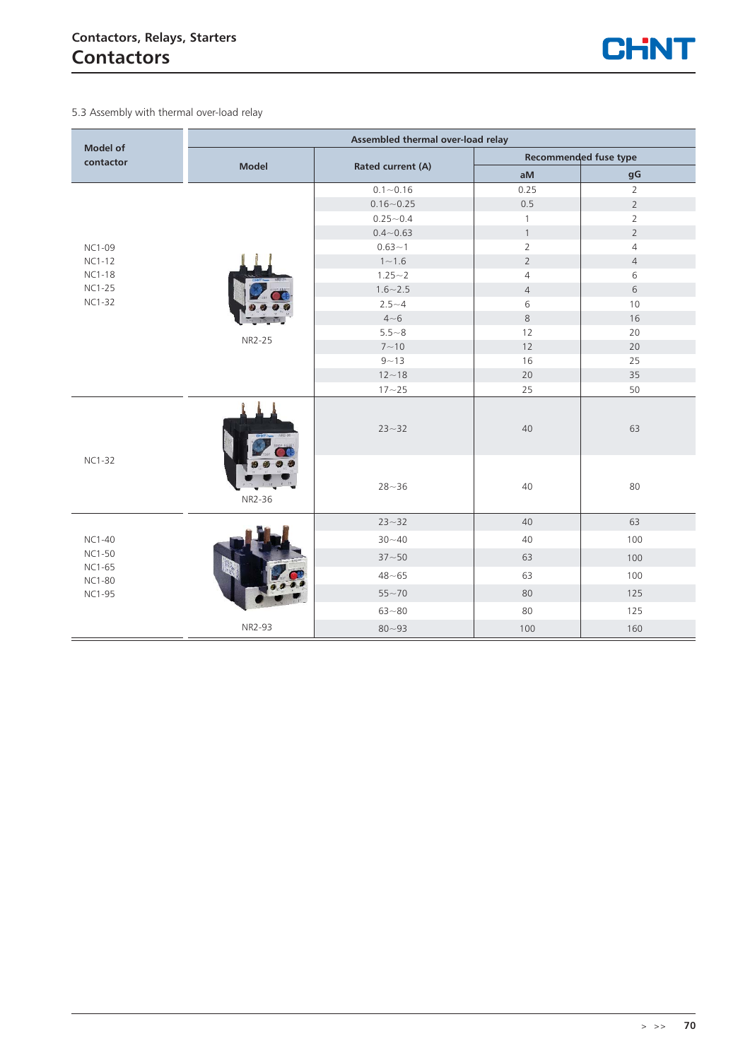

5.3 Assembly with thermal over-load relay

| <b>Model of</b>                | Assembled thermal over-load relay |                   |                |                       |  |  |  |  |
|--------------------------------|-----------------------------------|-------------------|----------------|-----------------------|--|--|--|--|
| contactor                      |                                   |                   |                | Recommended fuse type |  |  |  |  |
|                                | <b>Model</b>                      | Rated current (A) | aM             | gG                    |  |  |  |  |
|                                |                                   | $0.1 - 0.16$      | 0.25           | $\overline{2}$        |  |  |  |  |
|                                |                                   | $0.16 - 0.25$     | 0.5            | $\overline{2}$        |  |  |  |  |
|                                |                                   | $0.25 - 0.4$      | 1              | $\overline{2}$        |  |  |  |  |
|                                |                                   | $0.4 - 0.63$      | $\mathbf{1}$   | $\overline{2}$        |  |  |  |  |
| <b>NC1-09</b>                  |                                   | $0.63 - 1$        | $\overline{2}$ | $\overline{4}$        |  |  |  |  |
| <b>NC1-12</b>                  |                                   | $1 - 1.6$         | $\overline{2}$ | $\overline{4}$        |  |  |  |  |
| <b>NC1-18</b>                  |                                   | $1.25 - 2$        | $\overline{4}$ | 6                     |  |  |  |  |
| <b>NC1-25</b>                  |                                   | $1.6 - 2.5$       | $\overline{4}$ | 6                     |  |  |  |  |
| <b>NC1-32</b>                  |                                   | $2.5 - 4$         | 6              | 10                    |  |  |  |  |
|                                |                                   | $4 - 6$           | $\,8\,$        | 16                    |  |  |  |  |
|                                | NR2-25                            | $5.5 - 8$         | 12             | 20                    |  |  |  |  |
|                                |                                   | $7 - 10$          | 12             | 20                    |  |  |  |  |
|                                |                                   | $9 - 13$          | 16             | 25                    |  |  |  |  |
|                                |                                   | $12 - 18$         | 20             | 35                    |  |  |  |  |
|                                |                                   | $17 - 25$         | 25             | 50                    |  |  |  |  |
|                                | NR2-36                            | $23 - 32$         | 40             | 63                    |  |  |  |  |
| <b>NC1-32</b>                  |                                   | $28 - 36$         | 40             | 80                    |  |  |  |  |
|                                |                                   | $23 - 32$         | 40             | 63                    |  |  |  |  |
| <b>NC1-40</b>                  |                                   | $30 - 40$         | 40             | 100                   |  |  |  |  |
| <b>NC1-50</b>                  |                                   | $37 - 50$         | 63             | 100                   |  |  |  |  |
| <b>NC1-65</b><br><b>NC1-80</b> |                                   | $48 - 65$         | 63             | 100                   |  |  |  |  |
| <b>NC1-95</b>                  |                                   | $55 - 70$         | 80             | 125                   |  |  |  |  |
|                                |                                   | $63 - 80$         | 80             | 125                   |  |  |  |  |
|                                | NR2-93                            | $80 - 93$         | 100            | 160                   |  |  |  |  |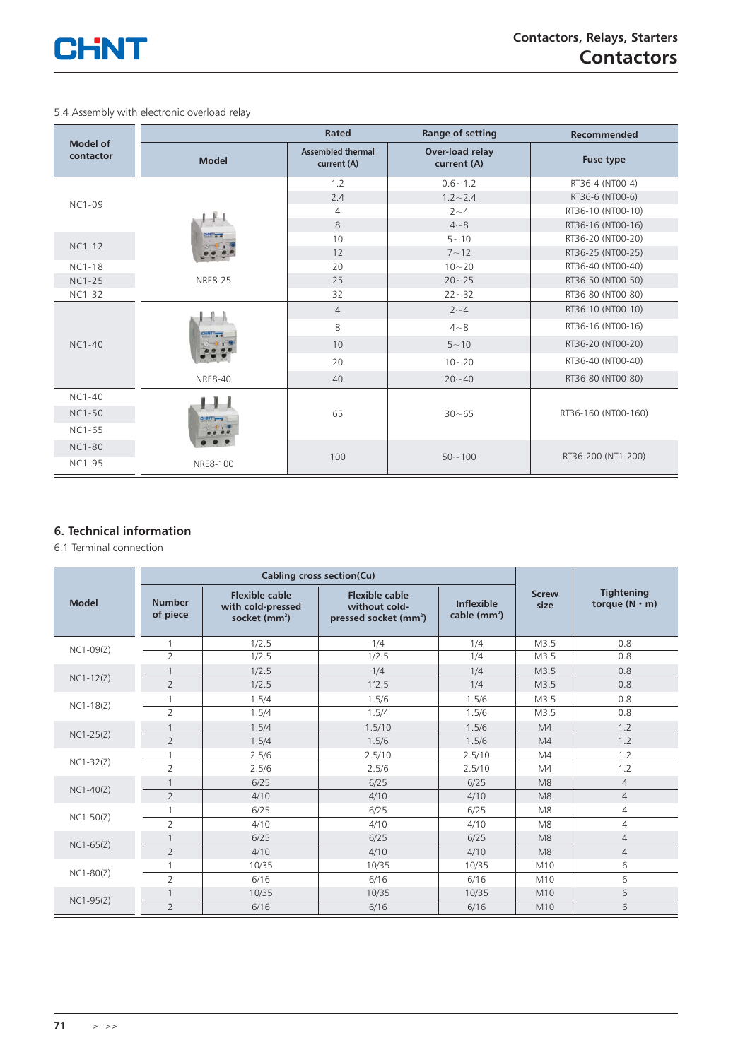

5.4 Assembly with electronic overload relay

|                       |                                                      | Rated                                   | Range of setting               | Recommended         |
|-----------------------|------------------------------------------------------|-----------------------------------------|--------------------------------|---------------------|
| Model of<br>contactor | <b>Model</b>                                         | <b>Assembled thermal</b><br>current (A) | Over-load relay<br>current (A) | Fuse type           |
|                       |                                                      | 1.2                                     | $0.6 - 1.2$                    | RT36-4 (NT00-4)     |
| <b>NC1-09</b>         |                                                      | 2.4                                     | $1.2 - 2.4$                    | RT36-6 (NT00-6)     |
|                       |                                                      | 4                                       | $2 - 4$                        | RT36-10 (NT00-10)   |
|                       |                                                      | 8                                       | $4 - 8$                        | RT36-16 (NT00-16)   |
| $NC1-12$              | <b>CINT OF</b><br>$\left\langle \cdot \right\rangle$ | 10                                      | $5 - 10$                       | RT36-20 (NT00-20)   |
|                       |                                                      | 12                                      | $7 - 12$                       | RT36-25 (NT00-25)   |
| $NC1-18$              |                                                      | 20                                      | $10 - 20$                      | RT36-40 (NT00-40)   |
| $NC1-25$              | <b>NRE8-25</b>                                       | 25                                      | $20 - 25$                      | RT36-50 (NT00-50)   |
| $NC1-32$              |                                                      | 32                                      | $22 - 32$                      | RT36-80 (NT00-80)   |
|                       | CHNT <sup>6</sup>                                    | $\overline{4}$                          | $2 - 4$                        | RT36-10 (NT00-10)   |
|                       |                                                      | 8                                       | $4 - 8$                        | RT36-16 (NT00-16)   |
| $NC1-40$              |                                                      | 10                                      | $5 - 10$                       | RT36-20 (NT00-20)   |
|                       |                                                      | 20                                      | $10 - 20$                      | RT36-40 (NT00-40)   |
|                       | <b>NRE8-40</b>                                       | 40                                      | $20 - 40$                      | RT36-80 (NT00-80)   |
| $NC1-40$              |                                                      |                                         |                                |                     |
| <b>NC1-50</b>         | CHNT THE                                             | 65                                      | $30 - 65$                      | RT36-160 (NT00-160) |
| NC1-65                |                                                      |                                         |                                |                     |
| <b>NC1-80</b>         |                                                      |                                         |                                | RT36-200 (NT1-200)  |
| <b>NC1-95</b>         | NRE8-100                                             | 100                                     | $50 - 100$                     |                     |

### **6. Technical information**

6.1 Terminal connection

|              |                           | Cabling cross section(Cu)                                    |                                                                             |                                    |                      |                                           |
|--------------|---------------------------|--------------------------------------------------------------|-----------------------------------------------------------------------------|------------------------------------|----------------------|-------------------------------------------|
| <b>Model</b> | <b>Number</b><br>of piece | <b>Flexible cable</b><br>with cold-pressed<br>socket $(mm2)$ | <b>Flexible cable</b><br>without cold-<br>pressed socket (mm <sup>2</sup> ) | <b>Inflexible</b><br>cable $(mm2)$ | <b>Screw</b><br>size | <b>Tightening</b><br>torque $(N \cdot m)$ |
| $NC1-09(Z)$  |                           | 1/2.5                                                        | 1/4                                                                         | 1/4                                | M3.5                 | 0.8                                       |
|              | $\overline{2}$            | 1/2.5                                                        | 1/2.5                                                                       | 1/4                                | M3.5                 | 0.8                                       |
| $NC1-12(Z)$  |                           | 1/2.5                                                        | 1/4                                                                         | 1/4                                | M3.5                 | 0.8                                       |
|              | $\overline{2}$            | 1/2.5                                                        | 1'2.5                                                                       | 1/4                                | M3.5                 | 0.8                                       |
| $NC1-18(Z)$  |                           | 1.5/4                                                        | 1.5/6                                                                       | 1.5/6                              | M3.5                 | 0.8                                       |
|              | $\overline{2}$            | 1.5/4                                                        | 1.5/4                                                                       | 1.5/6                              | M3.5                 | 0.8                                       |
| $NC1-25(Z)$  |                           | 1.5/4                                                        | 1.5/10                                                                      | 1.5/6                              | M4                   | 1.2                                       |
|              | $\overline{2}$            | 1.5/4                                                        | 1.5/6                                                                       | 1.5/6                              | M4                   | 1.2                                       |
| $NC1-32(Z)$  |                           | 2.5/6                                                        | 2.5/10                                                                      | 2.5/10                             | M4                   | 1.2                                       |
|              | $\overline{2}$            | 2.5/6                                                        | 2.5/6                                                                       | 2.5/10                             | M4                   | 1.2                                       |
| $NC1-40(Z)$  |                           | 6/25                                                         | 6/25                                                                        | 6/25                               | M8                   | $\overline{4}$                            |
|              | $\overline{2}$            | 4/10                                                         | 4/10                                                                        | 4/10                               | M8                   | $\overline{4}$                            |
| $NC1-50(Z)$  |                           | 6/25                                                         | 6/25                                                                        | 6/25                               | M <sub>8</sub>       | $\overline{4}$                            |
|              | $\overline{2}$            | 4/10                                                         | 4/10                                                                        | 4/10                               | M <sub>8</sub>       | $\overline{4}$                            |
| $NC1-65(Z)$  |                           | 6/25                                                         | 6/25                                                                        | 6/25                               | M8                   | $\overline{4}$                            |
|              | $\overline{2}$            | 4/10                                                         | 4/10                                                                        | 4/10                               | M8                   | $\overline{4}$                            |
|              |                           | 10/35                                                        | 10/35                                                                       | 10/35                              | M10                  | 6                                         |
| $NC1-80(Z)$  | $\overline{2}$            | 6/16                                                         | 6/16                                                                        | 6/16                               | M10                  | 6                                         |
|              |                           | 10/35                                                        | 10/35                                                                       | 10/35                              | M10                  | 6                                         |
| $NC1-95(Z)$  | $\overline{2}$            | 6/16                                                         | 6/16                                                                        | 6/16                               | M10                  | 6                                         |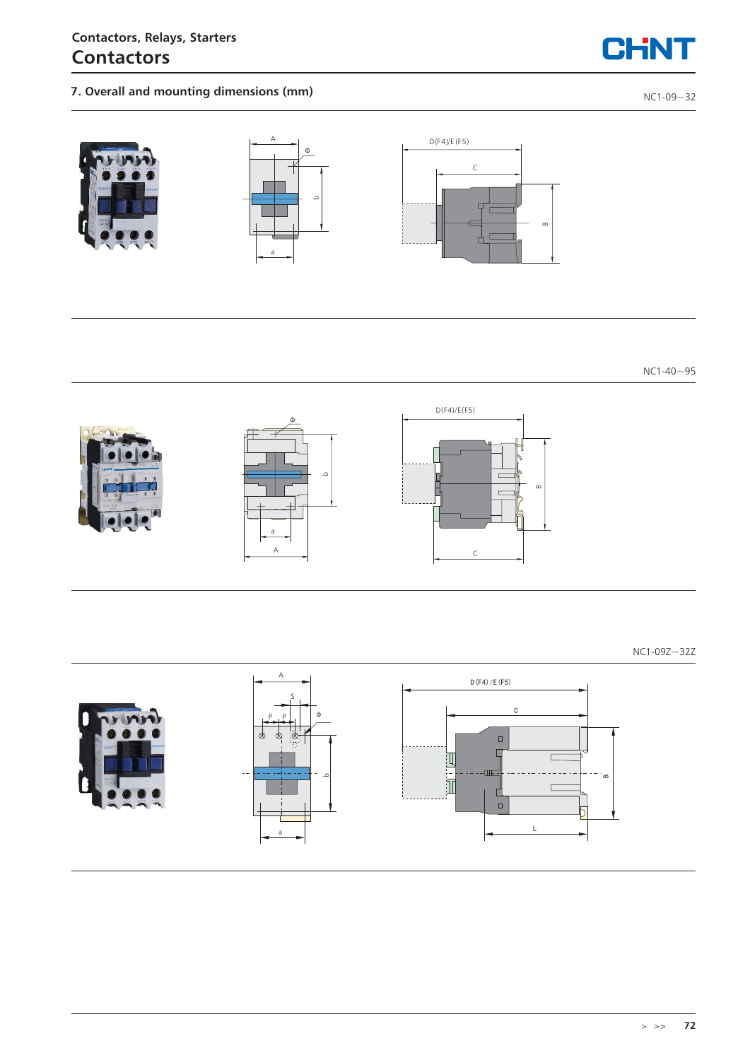### **Contactors, Relays, Starters Contactors**

## **7. Overall and mounting dimensions (mm) Depictment of the contract of the contract of the contract of the contract of the contract of the contract of the contract of the contract of the contract of the contract of the c**

CHNT



NC1-40~95



NC1-09Z~32Z